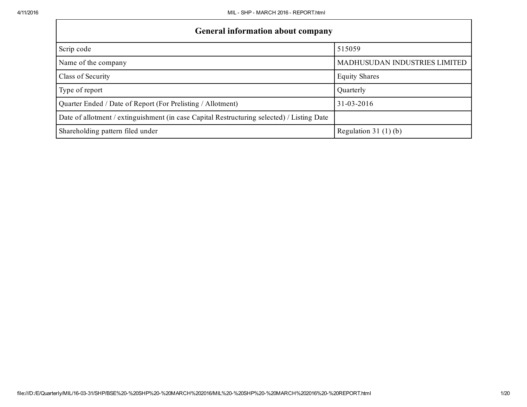| <b>General information about company</b>                                                   |                                      |
|--------------------------------------------------------------------------------------------|--------------------------------------|
| Scrip code                                                                                 | 515059                               |
| Name of the company                                                                        | <b>MADHUSUDAN INDUSTRIES LIMITED</b> |
| Class of Security                                                                          | <b>Equity Shares</b>                 |
| Type of report                                                                             | Quarterly                            |
| Quarter Ended / Date of Report (For Prelisting / Allotment)                                | $31 - 03 - 2016$                     |
| Date of allotment / extinguishment (in case Capital Restructuring selected) / Listing Date |                                      |
| Shareholding pattern filed under                                                           | Regulation 31 $(1)(b)$               |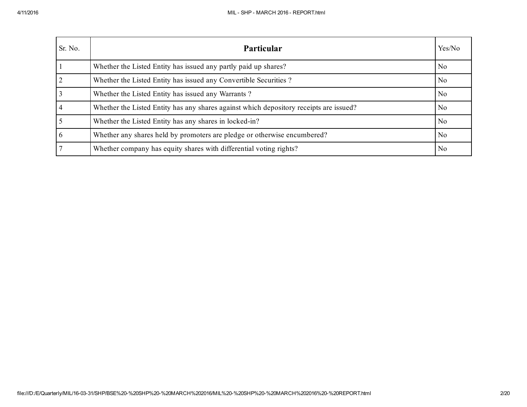| Sr. No.        | <b>Particular</b>                                                                      | Yes/No         |
|----------------|----------------------------------------------------------------------------------------|----------------|
|                | Whether the Listed Entity has issued any partly paid up shares?                        | N <sub>0</sub> |
| $\overline{2}$ | Whether the Listed Entity has issued any Convertible Securities?                       | N <sub>0</sub> |
|                | Whether the Listed Entity has issued any Warrants?                                     | N <sub>0</sub> |
|                | Whether the Listed Entity has any shares against which depository receipts are issued? | N <sub>0</sub> |
|                | Whether the Listed Entity has any shares in locked-in?                                 | N <sub>0</sub> |
| 6              | Whether any shares held by promoters are pledge or otherwise encumbered?               | N <sub>0</sub> |
|                | Whether company has equity shares with differential voting rights?                     | N <sub>0</sub> |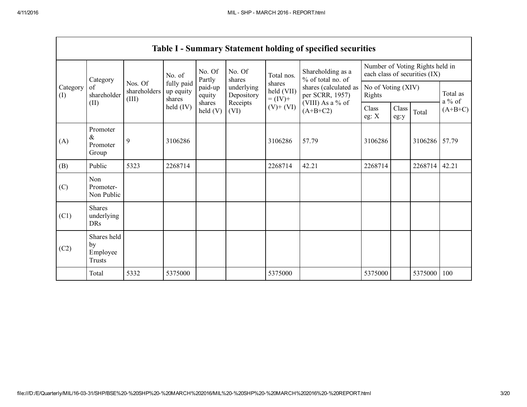$\Gamma$ 

|                 |                                           |                                  |                                   |                    |                                              |                                    | <b>Table I - Summary Statement holding of specified securities</b> |                                                                  |                      |         |                      |
|-----------------|-------------------------------------------|----------------------------------|-----------------------------------|--------------------|----------------------------------------------|------------------------------------|--------------------------------------------------------------------|------------------------------------------------------------------|----------------------|---------|----------------------|
|                 | Category                                  | Nos. Of<br>shareholders<br>(III) | No. of                            | No. Of<br>Partly   | No. Of<br>shares<br>underlying<br>Depository | Total nos.                         | Shareholding as a<br>% of total no. of                             | Number of Voting Rights held in<br>each class of securities (IX) |                      |         |                      |
| Category<br>(I) | of<br>shareholder                         |                                  | fully paid<br>up equity<br>shares | paid-up<br>equity  |                                              | shares<br>held (VII)<br>$= (IV) +$ | shares (calculated as<br>per SCRR, 1957)                           | No of Voting (XIV)<br>Rights                                     |                      |         | Total as<br>$a\%$ of |
|                 | (II)                                      |                                  | held $(IV)$                       | shares<br>held (V) | Receipts<br>(VI)                             | $(V)$ + $(VI)$                     | (VIII) As a % of<br>$(A+B+C2)$                                     | Class<br>eg: $X$                                                 | <b>Class</b><br>eg:y | Total   | $(A+B+C)$            |
| (A)             | Promoter<br>$\&$<br>Promoter<br>Group     | 9                                | 3106286                           |                    |                                              | 3106286                            | 57.79                                                              | 3106286                                                          |                      | 3106286 | 57.79                |
| (B)             | Public                                    | 5323                             | 2268714                           |                    |                                              | 2268714                            | 42.21                                                              | 2268714                                                          |                      | 2268714 | 42.21                |
| (C)             | Non<br>Promoter-<br>Non Public            |                                  |                                   |                    |                                              |                                    |                                                                    |                                                                  |                      |         |                      |
| (C1)            | <b>Shares</b><br>underlying<br><b>DRs</b> |                                  |                                   |                    |                                              |                                    |                                                                    |                                                                  |                      |         |                      |
| (C2)            | Shares held<br>by<br>Employee<br>Trusts   |                                  |                                   |                    |                                              |                                    |                                                                    |                                                                  |                      |         |                      |
|                 | Total                                     | 5332                             | 5375000                           |                    |                                              | 5375000                            |                                                                    | 5375000                                                          |                      | 5375000 | 100                  |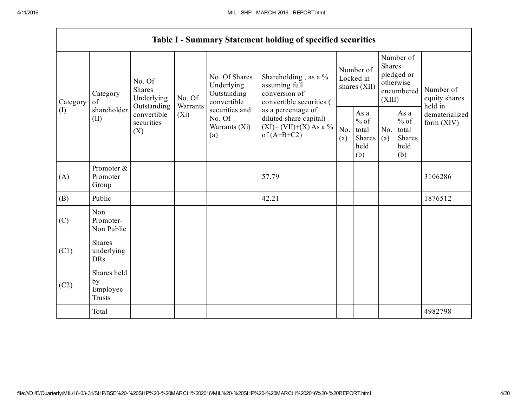|      | Category<br>of                                 | No. Of<br><b>Shares</b>          | Underlying  | No. Of                                           |                                                                                          | No. Of Shares<br>Underlying<br>Outstanding<br>convertible | Shareholding, as a %<br>assuming full<br>conversion of<br>convertible securities ( | Number of<br>Locked in<br>shares (XII)                      |                                                  | Number of<br><b>Shares</b><br>pledged or<br>otherwise<br>(XIII) |  | Number of<br>equity shares<br>held in |
|------|------------------------------------------------|----------------------------------|-------------|--------------------------------------------------|------------------------------------------------------------------------------------------|-----------------------------------------------------------|------------------------------------------------------------------------------------|-------------------------------------------------------------|--------------------------------------------------|-----------------------------------------------------------------|--|---------------------------------------|
| (I)  | shareholder<br>(II)                            | convertible<br>securities<br>(X) | $(X_i)$     | securities and<br>No. Of<br>Warrants (Xi)<br>(a) | as a percentage of<br>diluted share capital)<br>$(XI)=(VII)+(X) As a %$<br>of $(A+B+C2)$ | No.<br>(a)                                                | As a<br>$%$ of<br>total<br>Shares<br>held<br>(b)                                   | No.<br>(a)                                                  | As a<br>$%$ of<br>total<br>Shares<br>held<br>(b) | dematerialized<br>form $(XIV)$                                  |  |                                       |
| (A)  | Promoter &<br>Promoter<br>Group                |                                  |             |                                                  | 57.79                                                                                    |                                                           |                                                                                    |                                                             |                                                  | 3106286                                                         |  |                                       |
| (B)  | Public                                         |                                  |             |                                                  | 42.21                                                                                    |                                                           |                                                                                    |                                                             |                                                  | 1876512                                                         |  |                                       |
| (C)  | Non<br>Promoter-<br>Non Public                 |                                  |             |                                                  |                                                                                          |                                                           |                                                                                    |                                                             |                                                  |                                                                 |  |                                       |
| (C1) | <b>Shares</b><br>underlying<br><b>DRs</b>      |                                  |             |                                                  |                                                                                          |                                                           |                                                                                    |                                                             |                                                  |                                                                 |  |                                       |
| (C2) | Shares held<br>by<br>Employee<br><b>Trusts</b> |                                  |             |                                                  |                                                                                          |                                                           |                                                                                    |                                                             |                                                  |                                                                 |  |                                       |
|      | Total                                          |                                  |             |                                                  |                                                                                          |                                                           |                                                                                    |                                                             |                                                  | 4982798                                                         |  |                                       |
|      | Category                                       |                                  | Outstanding | Warrants                                         |                                                                                          |                                                           |                                                                                    | Table I - Summary Statement holding of specified securities |                                                  | encumbered                                                      |  |                                       |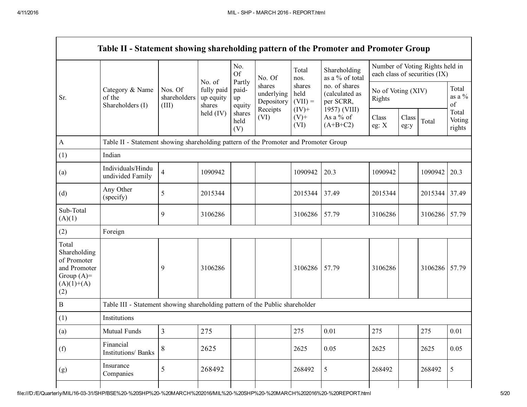Г

|                                                                                             | Table II - Statement showing shareholding pattern of the Promoter and Promoter Group |                                  |                                             |                                 |                                    |                             |                                              |                              |               |                                                                  |                           |
|---------------------------------------------------------------------------------------------|--------------------------------------------------------------------------------------|----------------------------------|---------------------------------------------|---------------------------------|------------------------------------|-----------------------------|----------------------------------------------|------------------------------|---------------|------------------------------------------------------------------|---------------------------|
|                                                                                             |                                                                                      |                                  |                                             | No.<br><b>Of</b>                | No. Of                             | Total<br>nos.               | Shareholding<br>as a % of total              |                              |               | Number of Voting Rights held in<br>each class of securities (IX) |                           |
| Sr.                                                                                         | Category & Name<br>of the<br>Shareholders (I)                                        | Nos. Of<br>shareholders<br>(III) | No. of<br>fully paid<br>up equity<br>shares | Partly<br>paid-<br>up<br>equity | shares<br>underlying<br>Depository | shares<br>held<br>$(VII) =$ | no. of shares<br>(calculated as<br>per SCRR, | No of Voting (XIV)<br>Rights |               |                                                                  | Total<br>as a $\%$<br>of  |
|                                                                                             |                                                                                      |                                  | held (IV)                                   | shares<br>held<br>(V)           | Receipts<br>(VI)                   | $(IV)$ +<br>$(V)$ +<br>(VI) | 1957) (VIII)<br>As a % of<br>$(A+B+C2)$      | Class<br>eg: $X$             | Class<br>eg:y | Total                                                            | Total<br>Voting<br>rights |
| $\mathbf{A}$                                                                                | Table II - Statement showing shareholding pattern of the Promoter and Promoter Group |                                  |                                             |                                 |                                    |                             |                                              |                              |               |                                                                  |                           |
| (1)                                                                                         | Indian                                                                               |                                  |                                             |                                 |                                    |                             |                                              |                              |               |                                                                  |                           |
| (a)                                                                                         | Individuals/Hindu<br>undivided Family                                                | $\overline{4}$                   | 1090942                                     |                                 |                                    | 1090942                     | 20.3                                         | 1090942                      |               | 1090942                                                          | 20.3                      |
| (d)                                                                                         | Any Other<br>(specify)                                                               | 5                                | 2015344                                     |                                 |                                    | 2015344                     | 37.49                                        | 2015344                      |               | 2015344 37.49                                                    |                           |
| Sub-Total<br>(A)(1)                                                                         |                                                                                      | 9                                | 3106286                                     |                                 |                                    | 3106286                     | 57.79                                        | 3106286                      |               | 3106286 57.79                                                    |                           |
| (2)                                                                                         | Foreign                                                                              |                                  |                                             |                                 |                                    |                             |                                              |                              |               |                                                                  |                           |
| Total<br>Shareholding<br>of Promoter<br>and Promoter<br>Group $(A)=$<br>$(A)(1)+(A)$<br>(2) |                                                                                      | 9                                | 3106286                                     |                                 |                                    | 3106286                     | 57.79                                        | 3106286                      |               | 3106286 57.79                                                    |                           |
| $\, {\bf B}$                                                                                | Table III - Statement showing shareholding pattern of the Public shareholder         |                                  |                                             |                                 |                                    |                             |                                              |                              |               |                                                                  |                           |
| (1)                                                                                         | Institutions                                                                         |                                  |                                             |                                 |                                    |                             |                                              |                              |               |                                                                  |                           |
| (a)                                                                                         | Mutual Funds                                                                         | $\overline{3}$                   | 275                                         |                                 |                                    | 275                         | 0.01                                         | 275                          |               | 275                                                              | 0.01                      |
| (f)                                                                                         | Financial<br>Institutions/ Banks                                                     | 8                                | 2625                                        |                                 |                                    | 2625                        | 0.05                                         | 2625                         |               | 2625                                                             | 0.05                      |
| (g)                                                                                         | Insurance<br>Companies                                                               | 5                                | 268492                                      |                                 |                                    | 268492                      | $\mathfrak s$                                | 268492                       |               | 268492                                                           | 5                         |
|                                                                                             |                                                                                      |                                  |                                             |                                 |                                    |                             |                                              |                              |               |                                                                  |                           |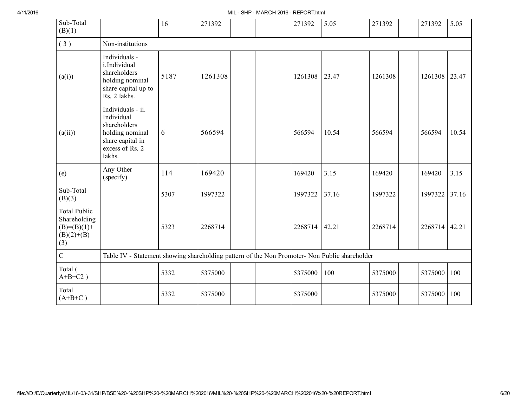4/11/2016 MIL SHP MARCH 2016 REPORT.html

| Sub-Total<br>(B)(1)                                                           |                                                                                                                     | 16   | 271392  |  | 271392  | 5.05  | 271392  | 271392  | 5.05  |
|-------------------------------------------------------------------------------|---------------------------------------------------------------------------------------------------------------------|------|---------|--|---------|-------|---------|---------|-------|
| (3)                                                                           | Non-institutions                                                                                                    |      |         |  |         |       |         |         |       |
| (a(i))                                                                        | Individuals -<br>i.Individual<br>shareholders<br>holding nominal<br>share capital up to<br>Rs. 2 lakhs.             | 5187 | 1261308 |  | 1261308 | 23.47 | 1261308 | 1261308 | 23.47 |
| (a(ii))                                                                       | Individuals - ii.<br>Individual<br>shareholders<br>holding nominal<br>share capital in<br>excess of Rs. 2<br>lakhs. | 6    | 566594  |  | 566594  | 10.54 | 566594  | 566594  | 10.54 |
| (e)                                                                           | Any Other<br>(specify)                                                                                              | 114  | 169420  |  | 169420  | 3.15  | 169420  | 169420  | 3.15  |
| Sub-Total<br>(B)(3)                                                           |                                                                                                                     | 5307 | 1997322 |  | 1997322 | 37.16 | 1997322 | 1997322 | 37.16 |
| <b>Total Public</b><br>Shareholding<br>$(B)= (B)(1) +$<br>$(B)(2)+(B)$<br>(3) |                                                                                                                     | 5323 | 2268714 |  | 2268714 | 42.21 | 2268714 | 2268714 | 42.21 |
| $\overline{C}$                                                                | Table IV - Statement showing shareholding pattern of the Non Promoter- Non Public shareholder                       |      |         |  |         |       |         |         |       |
| Total (<br>$A+B+C2$ )                                                         |                                                                                                                     | 5332 | 5375000 |  | 5375000 | 100   | 5375000 | 5375000 | 100   |
| Total<br>$(A+B+C)$                                                            |                                                                                                                     | 5332 | 5375000 |  | 5375000 |       | 5375000 | 5375000 | 100   |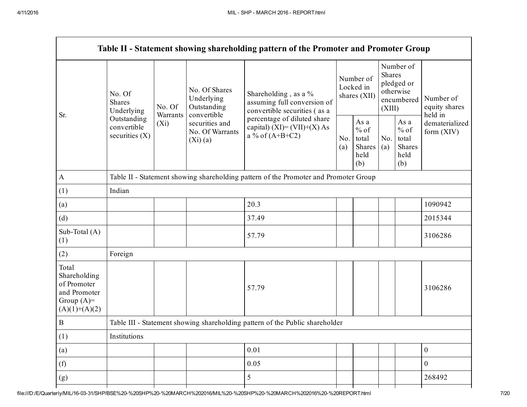|                                                                                         |                                                |                     |                                                             | Table II - Statement showing shareholding pattern of the Promoter and Promoter Group |  |                                                         |                         |                                                    |                                       |  |  |
|-----------------------------------------------------------------------------------------|------------------------------------------------|---------------------|-------------------------------------------------------------|--------------------------------------------------------------------------------------|--|---------------------------------------------------------|-------------------------|----------------------------------------------------|---------------------------------------|--|--|
| Sr.                                                                                     | No. Of<br><b>Shares</b><br>Underlying          | No. Of              | No. Of Shares<br>Underlying<br>Outstanding                  | Shareholding, as a %<br>assuming full conversion of<br>convertible securities (as a  |  | Number of<br>Locked in<br>shares (XII)                  | <b>Shares</b><br>(XIII) | Number of<br>pledged or<br>otherwise<br>encumbered | Number of<br>equity shares<br>held in |  |  |
|                                                                                         | Outstanding<br>convertible<br>securities $(X)$ | Warrants<br>$(X_i)$ | convertible<br>securities and<br>No. Of Warrants<br>(Xi)(a) | percentage of diluted share<br>capital) $(XI) = (VII)+(X) As$<br>a % of $(A+B+C2)$   |  | As a<br>$%$ of<br>No.<br>total<br>Shares<br>held<br>(b) | No.<br>(a)              | As a<br>$%$ of<br>total<br>Shares<br>held<br>(b)   | dematerialized<br>form (XIV)          |  |  |
| $\mathbf{A}$                                                                            |                                                |                     |                                                             | Table II - Statement showing shareholding pattern of the Promoter and Promoter Group |  |                                                         |                         |                                                    |                                       |  |  |
| (1)                                                                                     | Indian                                         |                     |                                                             |                                                                                      |  |                                                         |                         |                                                    |                                       |  |  |
| (a)                                                                                     |                                                |                     |                                                             | 20.3                                                                                 |  |                                                         |                         |                                                    | 1090942                               |  |  |
| (d)                                                                                     |                                                |                     |                                                             | 37.49                                                                                |  |                                                         |                         |                                                    | 2015344                               |  |  |
| Sub-Total (A)<br>(1)                                                                    |                                                |                     |                                                             | 57.79                                                                                |  |                                                         |                         |                                                    | 3106286                               |  |  |
| (2)                                                                                     | Foreign                                        |                     |                                                             |                                                                                      |  |                                                         |                         |                                                    |                                       |  |  |
| Total<br>Shareholding<br>of Promoter<br>and Promoter<br>Group $(A)=$<br>$(A)(1)+(A)(2)$ |                                                |                     |                                                             | 57.79                                                                                |  |                                                         |                         |                                                    | 3106286                               |  |  |
| $\boldsymbol{B}$                                                                        |                                                |                     |                                                             | Table III - Statement showing shareholding pattern of the Public shareholder         |  |                                                         |                         |                                                    |                                       |  |  |
| (1)                                                                                     | Institutions                                   |                     |                                                             |                                                                                      |  |                                                         |                         |                                                    |                                       |  |  |
| (a)                                                                                     |                                                |                     |                                                             | 0.01                                                                                 |  |                                                         |                         |                                                    | $\boldsymbol{0}$                      |  |  |
| (f)                                                                                     |                                                |                     |                                                             | 0.05                                                                                 |  |                                                         |                         |                                                    | $\boldsymbol{0}$                      |  |  |
| (g)                                                                                     |                                                |                     |                                                             | 5                                                                                    |  |                                                         |                         |                                                    | 268492                                |  |  |
|                                                                                         |                                                |                     |                                                             |                                                                                      |  |                                                         |                         |                                                    |                                       |  |  |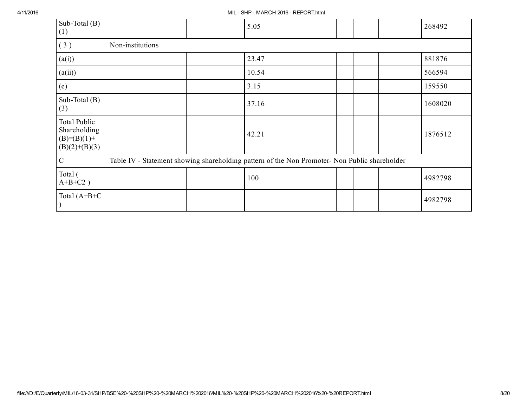4/11/2016 MIL SHP MARCH 2016 REPORT.html

| Sub-Total $(B)$<br>(1)                                             |                  |  | 5.05                                                                                          |  |  | 268492  |
|--------------------------------------------------------------------|------------------|--|-----------------------------------------------------------------------------------------------|--|--|---------|
| (3)                                                                | Non-institutions |  |                                                                                               |  |  |         |
| (a(i))                                                             |                  |  | 23.47                                                                                         |  |  | 881876  |
| (a(ii))                                                            |                  |  | 10.54                                                                                         |  |  | 566594  |
| (e)                                                                |                  |  | 3.15                                                                                          |  |  | 159550  |
| Sub-Total $(B)$<br>(3)                                             |                  |  | 37.16                                                                                         |  |  | 1608020 |
| Total Public<br>Shareholding<br>$(B)= (B)(1) +$<br>$(B)(2)+(B)(3)$ |                  |  | 42.21                                                                                         |  |  | 1876512 |
| $\mathcal{C}$                                                      |                  |  | Table IV - Statement showing shareholding pattern of the Non Promoter- Non Public shareholder |  |  |         |
| Total (<br>$A+B+C2$ )                                              |                  |  | 100                                                                                           |  |  | 4982798 |
| Total $(A+B+C$                                                     |                  |  |                                                                                               |  |  | 4982798 |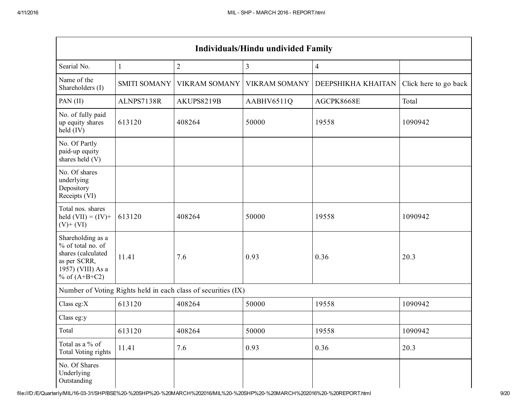| <b>Individuals/Hindu undivided Family</b>                                                                            |                     |                                                               |                      |                    |                       |  |  |  |  |  |  |
|----------------------------------------------------------------------------------------------------------------------|---------------------|---------------------------------------------------------------|----------------------|--------------------|-----------------------|--|--|--|--|--|--|
| Searial No.                                                                                                          | 1                   | $\overline{2}$                                                | $\overline{3}$       | $\overline{4}$     |                       |  |  |  |  |  |  |
| Name of the<br>Shareholders (I)                                                                                      | <b>SMITI SOMANY</b> | <b>VIKRAM SOMANY</b>                                          | <b>VIKRAM SOMANY</b> | DEEPSHIKHA KHAITAN | Click here to go back |  |  |  |  |  |  |
| PAN (II)                                                                                                             | ALNPS7138R          | AKUPS8219B                                                    | AABHV6511Q           | AGCPK8668E         | Total                 |  |  |  |  |  |  |
| No. of fully paid<br>up equity shares<br>held (IV)                                                                   | 613120              | 408264                                                        | 50000                | 19558              | 1090942               |  |  |  |  |  |  |
| No. Of Partly<br>paid-up equity<br>shares held (V)                                                                   |                     |                                                               |                      |                    |                       |  |  |  |  |  |  |
| No. Of shares<br>underlying<br>Depository<br>Receipts (VI)                                                           |                     |                                                               |                      |                    |                       |  |  |  |  |  |  |
| Total nos. shares<br>held $(VII) = (IV) +$<br>$(V)$ + $(VI)$                                                         | 613120              | 408264                                                        | 50000                | 19558              | 1090942               |  |  |  |  |  |  |
| Shareholding as a<br>% of total no. of<br>shares (calculated<br>as per SCRR,<br>1957) (VIII) As a<br>% of $(A+B+C2)$ | 11.41               | 7.6                                                           | 0.93                 | 0.36               | 20.3                  |  |  |  |  |  |  |
|                                                                                                                      |                     | Number of Voting Rights held in each class of securities (IX) |                      |                    |                       |  |  |  |  |  |  |
| Class eg: $X$                                                                                                        | 613120              | 408264                                                        | 50000                | 19558              | 1090942               |  |  |  |  |  |  |
| Class eg:y                                                                                                           |                     |                                                               |                      |                    |                       |  |  |  |  |  |  |
| Total                                                                                                                | 613120              | 408264                                                        | 50000                | 19558              | 1090942               |  |  |  |  |  |  |
| Total as a % of<br>Total Voting rights                                                                               | 11.41               | 7.6                                                           | 0.93                 | 0.36               | 20.3                  |  |  |  |  |  |  |
| No. Of Shares<br>Underlying<br>Outstanding                                                                           |                     |                                                               |                      |                    |                       |  |  |  |  |  |  |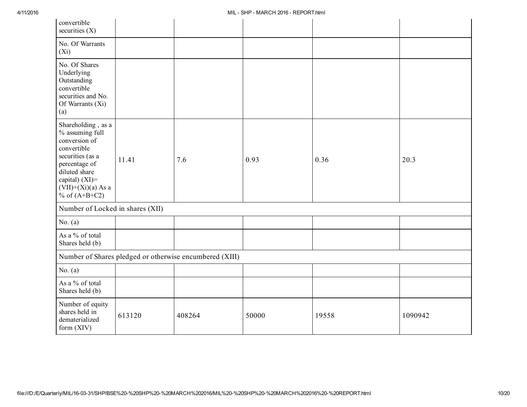| convertible<br>securities $(X)$                                                                                                                                                          |        |                                                         |       |       |         |
|------------------------------------------------------------------------------------------------------------------------------------------------------------------------------------------|--------|---------------------------------------------------------|-------|-------|---------|
| No. Of Warrants<br>$(X_i)$                                                                                                                                                               |        |                                                         |       |       |         |
| No. Of Shares<br>Underlying<br>Outstanding<br>convertible<br>securities and No.<br>Of Warrants (Xi)<br>(a)                                                                               |        |                                                         |       |       |         |
| Shareholding, as a<br>% assuming full<br>conversion of<br>convertible<br>securities (as a<br>percentage of<br>diluted share<br>capital) (XI)=<br>$(VII)+(Xi)(a)$ As a<br>% of $(A+B+C2)$ | 11.41  | 7.6                                                     | 0.93  | 0.36  | 20.3    |
| Number of Locked in shares (XII)                                                                                                                                                         |        |                                                         |       |       |         |
| No. $(a)$                                                                                                                                                                                |        |                                                         |       |       |         |
| As a % of total<br>Shares held (b)                                                                                                                                                       |        |                                                         |       |       |         |
|                                                                                                                                                                                          |        | Number of Shares pledged or otherwise encumbered (XIII) |       |       |         |
| No. $(a)$                                                                                                                                                                                |        |                                                         |       |       |         |
| As a % of total<br>Shares held (b)                                                                                                                                                       |        |                                                         |       |       |         |
| Number of equity<br>shares held in<br>dematerialized<br>form (XIV)                                                                                                                       | 613120 | 408264                                                  | 50000 | 19558 | 1090942 |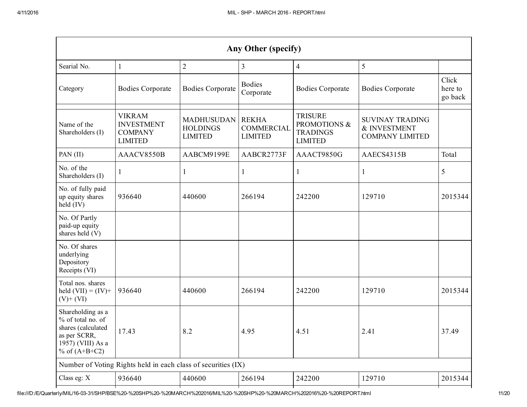|                                                                                                                      | Any Other (specify)                                                    |                                                        |                                                     |                                                                     |                                                                  |                             |  |  |  |  |  |  |
|----------------------------------------------------------------------------------------------------------------------|------------------------------------------------------------------------|--------------------------------------------------------|-----------------------------------------------------|---------------------------------------------------------------------|------------------------------------------------------------------|-----------------------------|--|--|--|--|--|--|
| Searial No.                                                                                                          | 1                                                                      | $\overline{2}$                                         | 3                                                   | $\overline{4}$                                                      | 5                                                                |                             |  |  |  |  |  |  |
| Category                                                                                                             | <b>Bodies Corporate</b>                                                | <b>Bodies Corporate</b>                                | <b>Bodies</b><br>Corporate                          | <b>Bodies Corporate</b>                                             | <b>Bodies Corporate</b>                                          | Click<br>here to<br>go back |  |  |  |  |  |  |
| Name of the<br>Shareholders (I)                                                                                      | <b>VIKRAM</b><br><b>INVESTMENT</b><br><b>COMPANY</b><br><b>LIMITED</b> | <b>MADHUSUDAN</b><br><b>HOLDINGS</b><br><b>LIMITED</b> | <b>REKHA</b><br><b>COMMERCIAL</b><br><b>LIMITED</b> | <b>TRISURE</b><br>PROMOTIONS &<br><b>TRADINGS</b><br><b>LIMITED</b> | <b>SUVINAY TRADING</b><br>& INVESTMENT<br><b>COMPANY LIMITED</b> |                             |  |  |  |  |  |  |
| PAN (II)                                                                                                             | AAACV8550B                                                             | AABCM9199E                                             | AABCR2773F                                          | AAACT9850G                                                          | AAECS4315B                                                       | Total                       |  |  |  |  |  |  |
| No. of the<br>Shareholders (I)                                                                                       | 1                                                                      |                                                        | 1                                                   | $\mathbf{1}$                                                        |                                                                  | 5                           |  |  |  |  |  |  |
| No. of fully paid<br>up equity shares<br>held (IV)                                                                   | 936640                                                                 | 440600                                                 | 266194                                              | 242200                                                              | 129710                                                           | 2015344                     |  |  |  |  |  |  |
| No. Of Partly<br>paid-up equity<br>shares held (V)                                                                   |                                                                        |                                                        |                                                     |                                                                     |                                                                  |                             |  |  |  |  |  |  |
| No. Of shares<br>underlying<br>Depository<br>Receipts (VI)                                                           |                                                                        |                                                        |                                                     |                                                                     |                                                                  |                             |  |  |  |  |  |  |
| Total nos. shares<br>held $(VII) = (IV) +$<br>$(V)$ + $(VI)$                                                         | 936640                                                                 | 440600                                                 | 266194                                              | 242200                                                              | 129710                                                           | 2015344                     |  |  |  |  |  |  |
| Shareholding as a<br>% of total no. of<br>shares (calculated<br>as per SCRR,<br>1957) (VIII) As a<br>% of $(A+B+C2)$ | 17.43                                                                  | 8.2                                                    | 4.95                                                | 4.51                                                                | 2.41                                                             | 37.49                       |  |  |  |  |  |  |
|                                                                                                                      | Number of Voting Rights held in each class of securities (IX)          |                                                        |                                                     |                                                                     |                                                                  |                             |  |  |  |  |  |  |
| Class eg: X                                                                                                          | 936640                                                                 | 440600                                                 | 266194                                              | 242200                                                              | 129710                                                           | 2015344                     |  |  |  |  |  |  |
|                                                                                                                      |                                                                        |                                                        |                                                     |                                                                     |                                                                  |                             |  |  |  |  |  |  |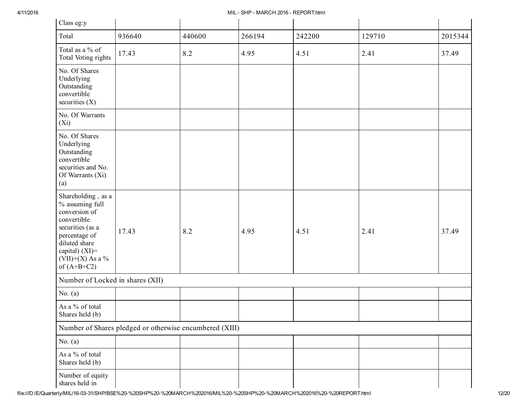| Class eg:y                                                                                                                                                                              |                                                         |        |        |        |        |         |
|-----------------------------------------------------------------------------------------------------------------------------------------------------------------------------------------|---------------------------------------------------------|--------|--------|--------|--------|---------|
| Total                                                                                                                                                                                   | 936640                                                  | 440600 | 266194 | 242200 | 129710 | 2015344 |
| Total as a % of<br>Total Voting rights                                                                                                                                                  | 17.43                                                   | 8.2    | 4.95   | 4.51   | 2.41   | 37.49   |
| No. Of Shares<br>Underlying<br>Outstanding<br>convertible<br>securities $(X)$                                                                                                           |                                                         |        |        |        |        |         |
| No. Of Warrants<br>$(X_i)$                                                                                                                                                              |                                                         |        |        |        |        |         |
| No. Of Shares<br>Underlying<br>Outstanding<br>convertible<br>securities and No.<br>Of Warrants (Xi)<br>(a)                                                                              |                                                         |        |        |        |        |         |
| Shareholding, as a<br>% assuming full<br>conversion of<br>convertible<br>securities (as a<br>percentage of<br>diluted share<br>capital) $(XI)$ =<br>$(VII)+(X)$ As a %<br>of $(A+B+C2)$ | 17.43                                                   | 8.2    | 4.95   | 4.51   | 2.41   | 37.49   |
| Number of Locked in shares (XII)                                                                                                                                                        |                                                         |        |        |        |        |         |
| No. $(a)$                                                                                                                                                                               |                                                         |        |        |        |        |         |
| As a % of total<br>Shares held (b)                                                                                                                                                      |                                                         |        |        |        |        |         |
|                                                                                                                                                                                         | Number of Shares pledged or otherwise encumbered (XIII) |        |        |        |        |         |
| No. $(a)$                                                                                                                                                                               |                                                         |        |        |        |        |         |
| As a % of total<br>Shares held (b)                                                                                                                                                      |                                                         |        |        |        |        |         |
| Number of equity<br>shares held in                                                                                                                                                      |                                                         |        |        |        |        |         |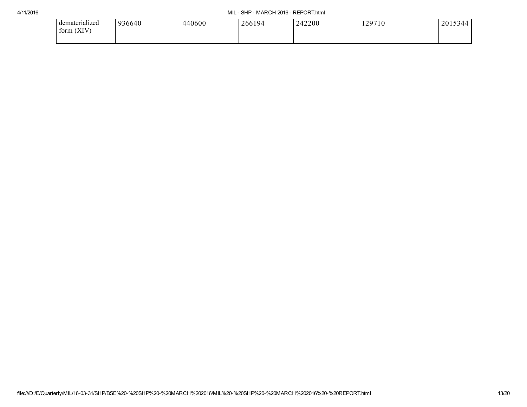## 4/11/2016 MIL SHP MARCH 2016 REPORT.html

| dematerialized<br>form (XIV) | 936640 | 440600 | 266194 | 242200 | 129710 | 2015344 |
|------------------------------|--------|--------|--------|--------|--------|---------|
|                              |        |        |        |        |        |         |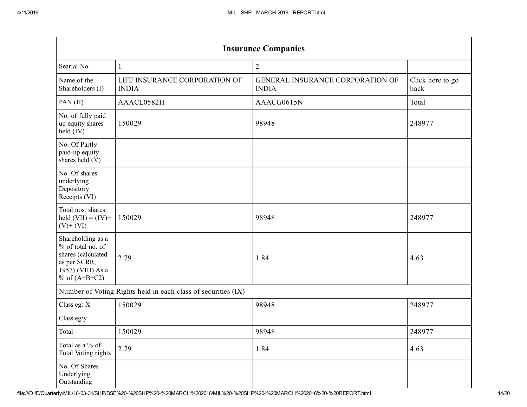| <b>Insurance Companies</b>                                                                                                   |                                               |                                                  |                          |  |  |  |  |
|------------------------------------------------------------------------------------------------------------------------------|-----------------------------------------------|--------------------------------------------------|--------------------------|--|--|--|--|
| Searial No.                                                                                                                  | 1                                             | $\overline{2}$                                   |                          |  |  |  |  |
| Name of the<br>Shareholders (I)                                                                                              | LIFE INSURANCE CORPORATION OF<br><b>INDIA</b> | GENERAL INSURANCE CORPORATION OF<br><b>INDIA</b> | Click here to go<br>back |  |  |  |  |
| PAN(II)                                                                                                                      | AAACL0582H                                    | AAACG0615N                                       | Total                    |  |  |  |  |
| No. of fully paid<br>150029<br>up equity shares<br>held (IV)                                                                 |                                               | 98948                                            | 248977                   |  |  |  |  |
| No. Of Partly<br>paid-up equity<br>shares held (V)                                                                           |                                               |                                                  |                          |  |  |  |  |
| No. Of shares<br>underlying<br>Depository<br>Receipts (VI)                                                                   |                                               |                                                  |                          |  |  |  |  |
| Total nos. shares<br>held $(VII) = (IV) +$<br>$(V)$ + $(VI)$                                                                 | 150029                                        | 98948                                            | 248977                   |  |  |  |  |
| Shareholding as a<br>% of total no. of<br>shares (calculated<br>2.79<br>as per SCRR,<br>1957) (VIII) As a<br>% of $(A+B+C2)$ |                                               | 1.84                                             | 4.63                     |  |  |  |  |
| Number of Voting Rights held in each class of securities (IX)                                                                |                                               |                                                  |                          |  |  |  |  |
| Class eg: X                                                                                                                  | 150029                                        | 98948                                            | 248977                   |  |  |  |  |
| Class eg:y                                                                                                                   |                                               |                                                  |                          |  |  |  |  |
| Total                                                                                                                        | 150029                                        | 98948                                            | 248977                   |  |  |  |  |
| Total as a % of<br><b>Total Voting rights</b>                                                                                | 2.79                                          | 1.84                                             | 4.63                     |  |  |  |  |
| No. Of Shares<br>Underlying<br>Outstanding                                                                                   |                                               |                                                  |                          |  |  |  |  |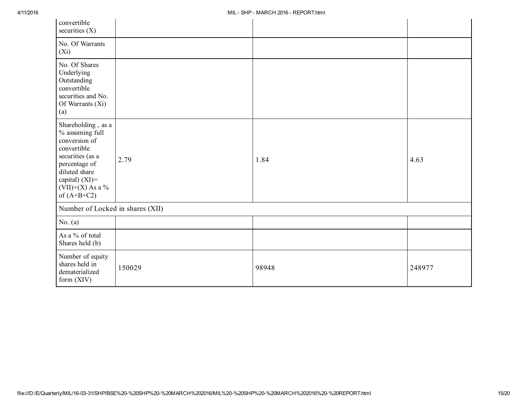| convertible<br>securities $(X)$                                                                                                                                                      |        |       |        |  |  |  |  |
|--------------------------------------------------------------------------------------------------------------------------------------------------------------------------------------|--------|-------|--------|--|--|--|--|
| No. Of Warrants<br>$(X_i)$                                                                                                                                                           |        |       |        |  |  |  |  |
| No. Of Shares<br>Underlying<br>Outstanding<br>convertible<br>securities and No.<br>Of Warrants (Xi)<br>(a)                                                                           |        |       |        |  |  |  |  |
| Shareholding, as a<br>% assuming full<br>conversion of<br>convertible<br>securities (as a<br>percentage of<br>diluted share<br>capital) (XI)=<br>$(VII)+(X)$ As a %<br>of $(A+B+C2)$ | 2.79   | 1.84  | 4.63   |  |  |  |  |
| Number of Locked in shares (XII)                                                                                                                                                     |        |       |        |  |  |  |  |
| No. $(a)$                                                                                                                                                                            |        |       |        |  |  |  |  |
| As a % of total<br>Shares held (b)                                                                                                                                                   |        |       |        |  |  |  |  |
| Number of equity<br>shares held in<br>dematerialized<br>form $(XIV)$                                                                                                                 | 150029 | 98948 | 248977 |  |  |  |  |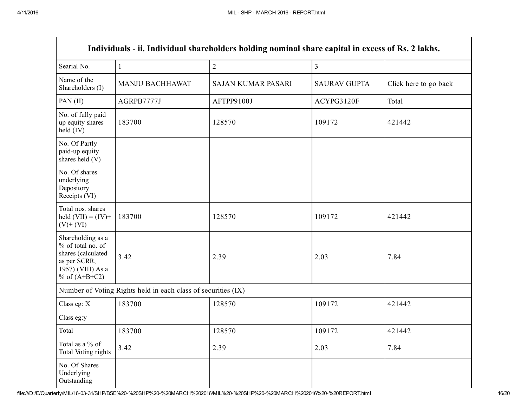Г

| Individuals - ii. Individual shareholders holding nominal share capital in excess of Rs. 2 lakhs.                    |                                                               |                           |                     |                       |  |  |  |
|----------------------------------------------------------------------------------------------------------------------|---------------------------------------------------------------|---------------------------|---------------------|-----------------------|--|--|--|
| Searial No.                                                                                                          | $\mathbf{1}$                                                  | $\overline{2}$            | $\overline{3}$      |                       |  |  |  |
| Name of the<br>Shareholders (I)                                                                                      | MANJU BACHHAWAT                                               | <b>SAJAN KUMAR PASARI</b> | <b>SAURAV GUPTA</b> | Click here to go back |  |  |  |
| PAN (II)                                                                                                             | AGRPB7777J                                                    | AFTPP9100J                | ACYPG3120F          | Total                 |  |  |  |
| No. of fully paid<br>up equity shares<br>183700<br>held (IV)                                                         |                                                               | 128570                    | 109172              | 421442                |  |  |  |
| No. Of Partly<br>paid-up equity<br>shares held (V)                                                                   |                                                               |                           |                     |                       |  |  |  |
| No. Of shares<br>underlying<br>Depository<br>Receipts (VI)                                                           |                                                               |                           |                     |                       |  |  |  |
| Total nos. shares<br>held $(VII) = (IV) +$<br>$(V)$ + $(VI)$                                                         | 183700                                                        | 128570                    | 109172              | 421442                |  |  |  |
| Shareholding as a<br>% of total no. of<br>shares (calculated<br>as per SCRR,<br>1957) (VIII) As a<br>% of $(A+B+C2)$ | 3.42                                                          | 2.39                      | 2.03                | 7.84                  |  |  |  |
|                                                                                                                      | Number of Voting Rights held in each class of securities (IX) |                           |                     |                       |  |  |  |
| Class eg: X                                                                                                          | 183700                                                        | 128570                    | 109172              | 421442                |  |  |  |
| Class eg:y                                                                                                           |                                                               |                           |                     |                       |  |  |  |
| Total                                                                                                                | 183700                                                        | 128570                    | 109172              | 421442                |  |  |  |
| Total as a % of<br><b>Total Voting rights</b>                                                                        | 3.42                                                          | 2.39                      | 2.03                | 7.84                  |  |  |  |
| No. Of Shares<br>Underlying<br>Outstanding                                                                           |                                                               |                           |                     |                       |  |  |  |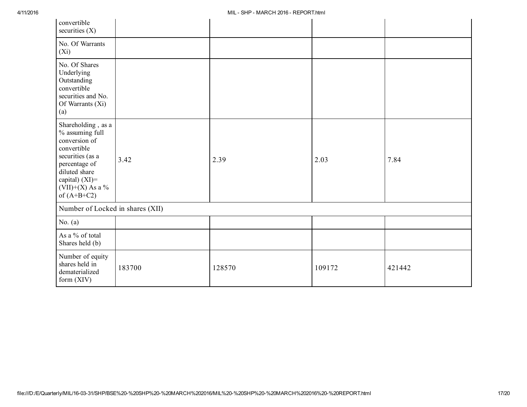| convertible<br>securities $(X)$                                                                                                                                                    |        |        |        |        |  |  |  |
|------------------------------------------------------------------------------------------------------------------------------------------------------------------------------------|--------|--------|--------|--------|--|--|--|
| No. Of Warrants<br>$(X_i)$                                                                                                                                                         |        |        |        |        |  |  |  |
| No. Of Shares<br>Underlying<br>Outstanding<br>convertible<br>securities and No.<br>Of Warrants (Xi)<br>(a)                                                                         |        |        |        |        |  |  |  |
| Shareholding, as a<br>% assuming full<br>conversion of<br>convertible<br>securities (as a<br>percentage of<br>diluted share<br>capital) (XI)=<br>(VII)+(X) As a %<br>of $(A+B+C2)$ | 3.42   | 2.39   | 2.03   | 7.84   |  |  |  |
| Number of Locked in shares (XII)                                                                                                                                                   |        |        |        |        |  |  |  |
| No. $(a)$                                                                                                                                                                          |        |        |        |        |  |  |  |
| As a % of total<br>Shares held (b)                                                                                                                                                 |        |        |        |        |  |  |  |
| Number of equity<br>shares held in<br>dematerialized<br>form $(XIV)$                                                                                                               | 183700 | 128570 | 109172 | 421442 |  |  |  |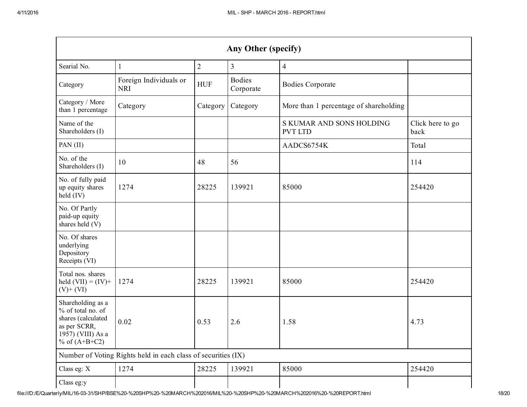| Any Other (specify)                                                                                                  |                                      |                |                            |                                            |                          |  |
|----------------------------------------------------------------------------------------------------------------------|--------------------------------------|----------------|----------------------------|--------------------------------------------|--------------------------|--|
| Searial No.                                                                                                          | 1                                    | $\overline{2}$ | $\mathfrak{Z}$             | $\overline{4}$                             |                          |  |
| Category                                                                                                             | Foreign Individuals or<br><b>NRI</b> | <b>HUF</b>     | <b>Bodies</b><br>Corporate | <b>Bodies Corporate</b>                    |                          |  |
| Category / More<br>than 1 percentage                                                                                 | Category                             | Category       | Category                   | More than 1 percentage of shareholding     |                          |  |
| Name of the<br>Shareholders (I)                                                                                      |                                      |                |                            | S KUMAR AND SONS HOLDING<br><b>PVT LTD</b> | Click here to go<br>back |  |
| PAN (II)                                                                                                             |                                      |                |                            | AADCS6754K                                 | Total                    |  |
| No. of the<br>Shareholders (I)                                                                                       | 10                                   | 48             | 56                         |                                            | 114                      |  |
| No. of fully paid<br>up equity shares<br>held (IV)                                                                   | 1274                                 | 28225          | 139921                     | 85000                                      | 254420                   |  |
| No. Of Partly<br>paid-up equity<br>shares held (V)                                                                   |                                      |                |                            |                                            |                          |  |
| No. Of shares<br>underlying<br>Depository<br>Receipts (VI)                                                           |                                      |                |                            |                                            |                          |  |
| Total nos. shares<br>held $(VII) = (IV) +$<br>$(V)$ + $(VI)$                                                         | 1274                                 | 28225          | 139921                     | 85000                                      | 254420                   |  |
| Shareholding as a<br>% of total no. of<br>shares (calculated<br>as per SCRR,<br>1957) (VIII) As a<br>% of $(A+B+C2)$ | 0.02                                 | 0.53           | 2.6                        | 1.58                                       | 4.73                     |  |
| Number of Voting Rights held in each class of securities (IX)                                                        |                                      |                |                            |                                            |                          |  |
| Class eg: X                                                                                                          | 1274                                 | 28225          | 139921                     | 85000                                      | 254420                   |  |
| Class eg:y                                                                                                           |                                      |                |                            |                                            |                          |  |

file:///D:/E/Quarterly/MIL/160331/SHP/BSE%20%20SHP%20%20MARCH%202016/MIL%20%20SHP%20%20MARCH%202016%20%20REPORT.html 18/20